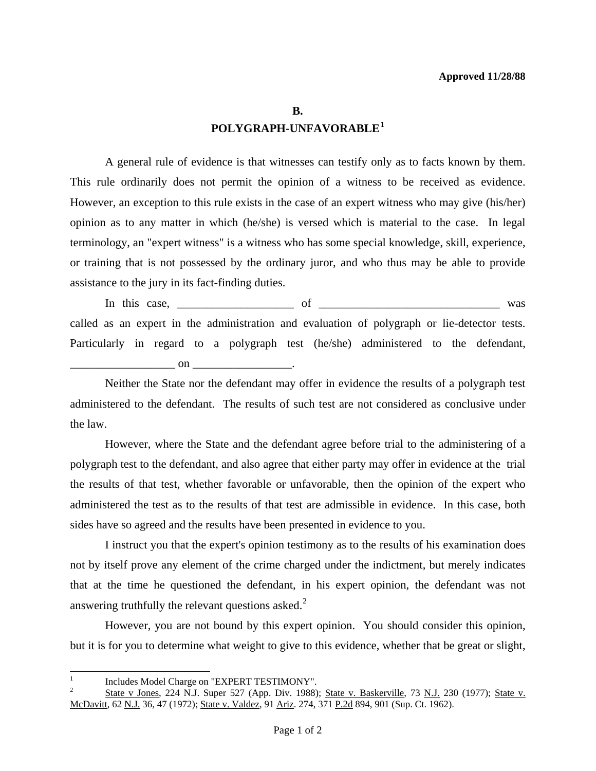## **B. POLYGRAPH-UNFAVORABLE[1](#page-0-0)**

 A general rule of evidence is that witnesses can testify only as to facts known by them. This rule ordinarily does not permit the opinion of a witness to be received as evidence. However, an exception to this rule exists in the case of an expert witness who may give (his/her) opinion as to any matter in which (he/she) is versed which is material to the case. In legal terminology, an "expert witness" is a witness who has some special knowledge, skill, experience, or training that is not possessed by the ordinary juror, and who thus may be able to provide assistance to the jury in its fact-finding duties.

 In this case, \_\_\_\_\_\_\_\_\_\_\_\_\_\_\_\_\_\_\_\_ of \_\_\_\_\_\_\_\_\_\_\_\_\_\_\_\_\_\_\_\_\_\_\_\_\_\_\_\_\_\_\_ was called as an expert in the administration and evaluation of polygraph or lie-detector tests. Particularly in regard to a polygraph test (he/she) administered to the defendant, on  $\blacksquare$ 

 Neither the State nor the defendant may offer in evidence the results of a polygraph test administered to the defendant. The results of such test are not considered as conclusive under the law.

 However, where the State and the defendant agree before trial to the administering of a polygraph test to the defendant, and also agree that either party may offer in evidence at the trial the results of that test, whether favorable or unfavorable, then the opinion of the expert who administered the test as to the results of that test are admissible in evidence. In this case, both sides have so agreed and the results have been presented in evidence to you.

 I instruct you that the expert's opinion testimony as to the results of his examination does not by itself prove any element of the crime charged under the indictment, but merely indicates that at the time he questioned the defendant, in his expert opinion, the defendant was not answering truthfully the relevant questions asked. $2$ 

 However, you are not bound by this expert opinion. You should consider this opinion, but it is for you to determine what weight to give to this evidence, whether that be great or slight,

l

<span id="page-0-0"></span><sup>1</sup>  $\frac{1}{2}$  Includes Model Charge on "EXPERT TESTIMONY".

<span id="page-0-1"></span><sup>2</sup> State v Jones, 224 N.J. Super 527 (App. Div. 1988); State v. Baskerville, 73 N.J. 230 (1977); State v. McDavitt, 62 N.J. 36, 47 (1972); State v. Valdez, 91 Ariz. 274, 371 P.2d 894, 901 (Sup. Ct. 1962).